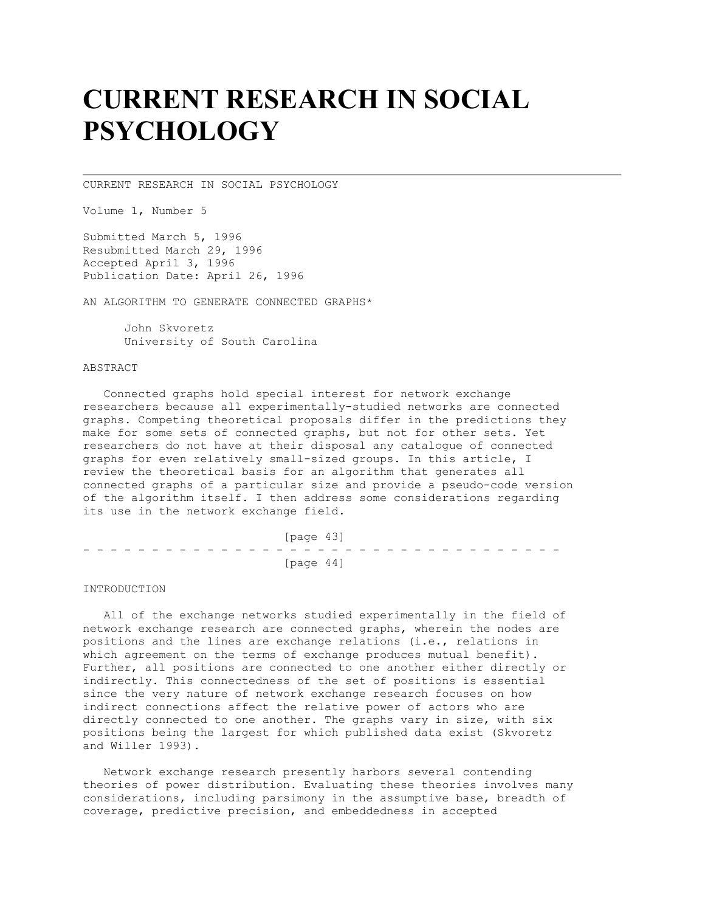# **CURRENT RESEARCH IN SOCIAL PSYCHOLOGY**

CURRENT RESEARCH IN SOCIAL PSYCHOLOGY

Volume 1, Number 5

Submitted March 5, 1996 Resubmitted March 29, 1996 Accepted April 3, 1996 Publication Date: April 26, 1996

AN ALGORITHM TO GENERATE CONNECTED GRAPHS\*

 John Skvoretz University of South Carolina

### ABSTRACT

 Connected graphs hold special interest for network exchange researchers because all experimentally-studied networks are connected graphs. Competing theoretical proposals differ in the predictions they make for some sets of connected graphs, but not for other sets. Yet researchers do not have at their disposal any catalogue of connected graphs for even relatively small-sized groups. In this article, I review the theoretical basis for an algorithm that generates all connected graphs of a particular size and provide a pseudo-code version of the algorithm itself. I then address some considerations regarding its use in the network exchange field.

|  |  |  |  |  |  |  |  | [page 43] |  |  |  |  |  |  |  |
|--|--|--|--|--|--|--|--|-----------|--|--|--|--|--|--|--|
|  |  |  |  |  |  |  |  |           |  |  |  |  |  |  |  |
|  |  |  |  |  |  |  |  | [page 44] |  |  |  |  |  |  |  |

### INTRODUCTION

 All of the exchange networks studied experimentally in the field of network exchange research are connected graphs, wherein the nodes are positions and the lines are exchange relations (i.e., relations in which agreement on the terms of exchange produces mutual benefit). Further, all positions are connected to one another either directly or indirectly. This connectedness of the set of positions is essential since the very nature of network exchange research focuses on how indirect connections affect the relative power of actors who are directly connected to one another. The graphs vary in size, with six positions being the largest for which published data exist (Skvoretz and Willer 1993).

 Network exchange research presently harbors several contending theories of power distribution. Evaluating these theories involves many considerations, including parsimony in the assumptive base, breadth of coverage, predictive precision, and embeddedness in accepted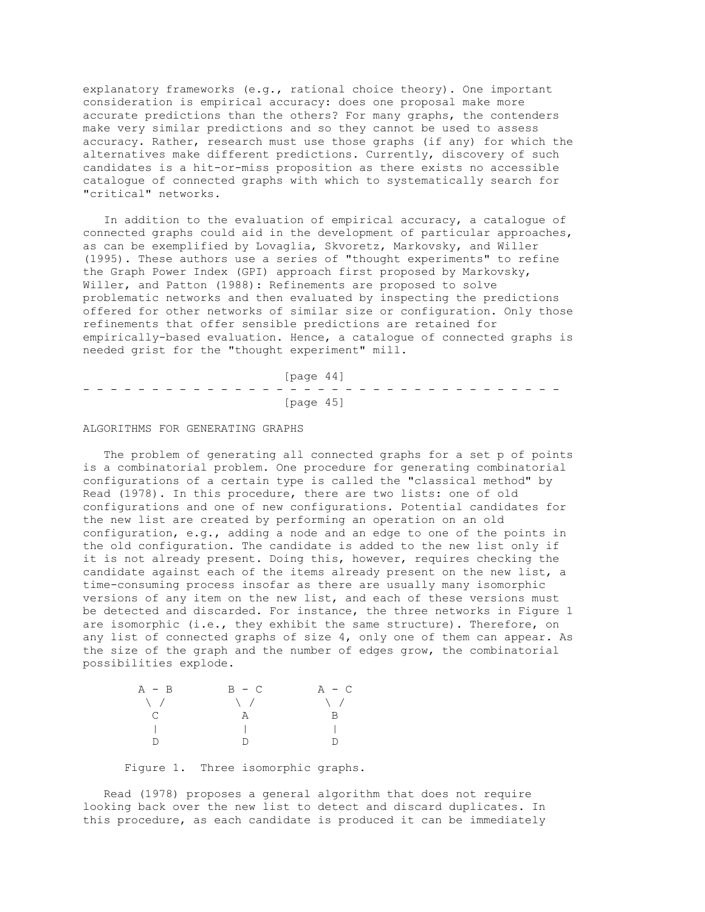explanatory frameworks (e.g., rational choice theory). One important consideration is empirical accuracy: does one proposal make more accurate predictions than the others? For many graphs, the contenders make very similar predictions and so they cannot be used to assess accuracy. Rather, research must use those graphs (if any) for which the alternatives make different predictions. Currently, discovery of such candidates is a hit-or-miss proposition as there exists no accessible catalogue of connected graphs with which to systematically search for "critical" networks.

 In addition to the evaluation of empirical accuracy, a catalogue of connected graphs could aid in the development of particular approaches, as can be exemplified by Lovaglia, Skvoretz, Markovsky, and Willer (1995). These authors use a series of "thought experiments" to refine the Graph Power Index (GPI) approach first proposed by Markovsky, Willer, and Patton (1988): Refinements are proposed to solve problematic networks and then evaluated by inspecting the predictions offered for other networks of similar size or configuration. Only those refinements that offer sensible predictions are retained for empirically-based evaluation. Hence, a catalogue of connected graphs is needed grist for the "thought experiment" mill.

 [page 44] - - - - - - - - - - - - - - - - - - - - - - - - - - - - - - - - - - - [page 45]

#### ALGORITHMS FOR GENERATING GRAPHS

 The problem of generating all connected graphs for a set p of points is a combinatorial problem. One procedure for generating combinatorial configurations of a certain type is called the "classical method" by Read (1978). In this procedure, there are two lists: one of old configurations and one of new configurations. Potential candidates for the new list are created by performing an operation on an old configuration, e.g., adding a node and an edge to one of the points in the old configuration. The candidate is added to the new list only if it is not already present. Doing this, however, requires checking the candidate against each of the items already present on the new list, a time-consuming process insofar as there are usually many isomorphic versions of any item on the new list, and each of these versions must be detected and discarded. For instance, the three networks in Figure 1 are isomorphic (i.e., they exhibit the same structure). Therefore, on any list of connected graphs of size 4, only one of them can appear. As the size of the graph and the number of edges grow, the combinatorial possibilities explode.

| $A - B$         | $B - C$       | $A - C$        |
|-----------------|---------------|----------------|
| $\setminus$ /   | $\setminus$ / | $\setminus$ /  |
| $\mathcal{C}^-$ | A             | $\overline{B}$ |
|                 |               |                |
| D               | D             | D.             |
|                 |               |                |

Figure 1. Three isomorphic graphs.

 Read (1978) proposes a general algorithm that does not require looking back over the new list to detect and discard duplicates. In this procedure, as each candidate is produced it can be immediately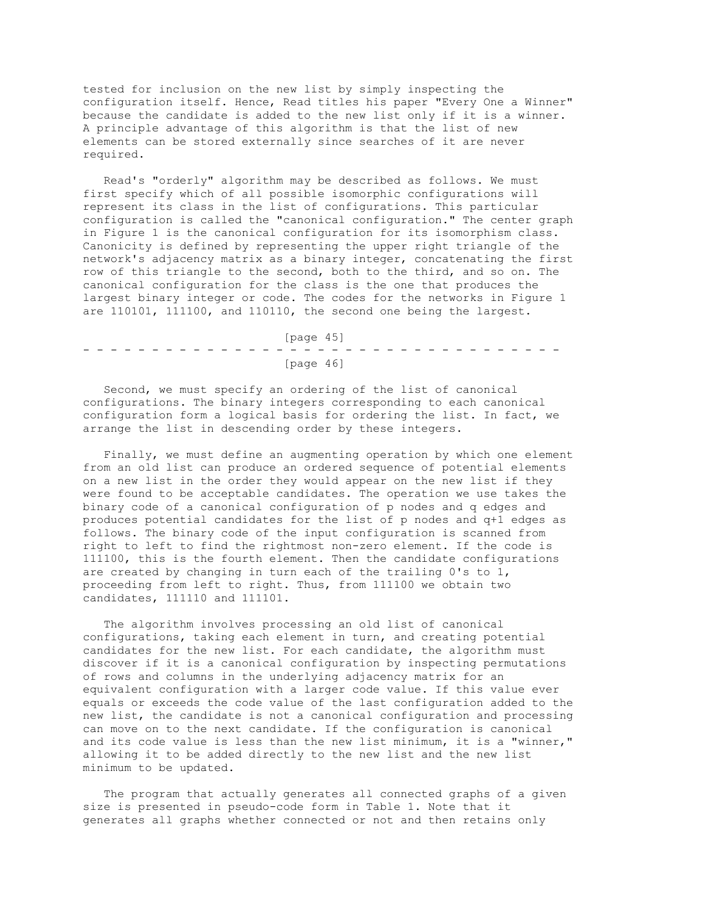tested for inclusion on the new list by simply inspecting the configuration itself. Hence, Read titles his paper "Every One a Winner" because the candidate is added to the new list only if it is a winner. A principle advantage of this algorithm is that the list of new elements can be stored externally since searches of it are never required.

 Read's "orderly" algorithm may be described as follows. We must first specify which of all possible isomorphic configurations will represent its class in the list of configurations. This particular configuration is called the "canonical configuration." The center graph in Figure 1 is the canonical configuration for its isomorphism class. Canonicity is defined by representing the upper right triangle of the network's adjacency matrix as a binary integer, concatenating the first row of this triangle to the second, both to the third, and so on. The canonical configuration for the class is the one that produces the largest binary integer or code. The codes for the networks in Figure 1 are 110101, 111100, and 110110, the second one being the largest.

 [page 45] - - - - - - - - - - - - - - - - - - - - - - - - - - - - - - - - - - - [page 46]

 Second, we must specify an ordering of the list of canonical configurations. The binary integers corresponding to each canonical configuration form a logical basis for ordering the list. In fact, we arrange the list in descending order by these integers.

 Finally, we must define an augmenting operation by which one element from an old list can produce an ordered sequence of potential elements on a new list in the order they would appear on the new list if they were found to be acceptable candidates. The operation we use takes the binary code of a canonical configuration of p nodes and q edges and produces potential candidates for the list of p nodes and q+1 edges as follows. The binary code of the input configuration is scanned from right to left to find the rightmost non-zero element. If the code is 111100, this is the fourth element. Then the candidate configurations are created by changing in turn each of the trailing 0's to 1, proceeding from left to right. Thus, from 111100 we obtain two candidates, 111110 and 111101.

 The algorithm involves processing an old list of canonical configurations, taking each element in turn, and creating potential candidates for the new list. For each candidate, the algorithm must discover if it is a canonical configuration by inspecting permutations of rows and columns in the underlying adjacency matrix for an equivalent configuration with a larger code value. If this value ever equals or exceeds the code value of the last configuration added to the new list, the candidate is not a canonical configuration and processing can move on to the next candidate. If the configuration is canonical and its code value is less than the new list minimum, it is a "winner," allowing it to be added directly to the new list and the new list minimum to be updated.

 The program that actually generates all connected graphs of a given size is presented in pseudo-code form in Table 1. Note that it generates all graphs whether connected or not and then retains only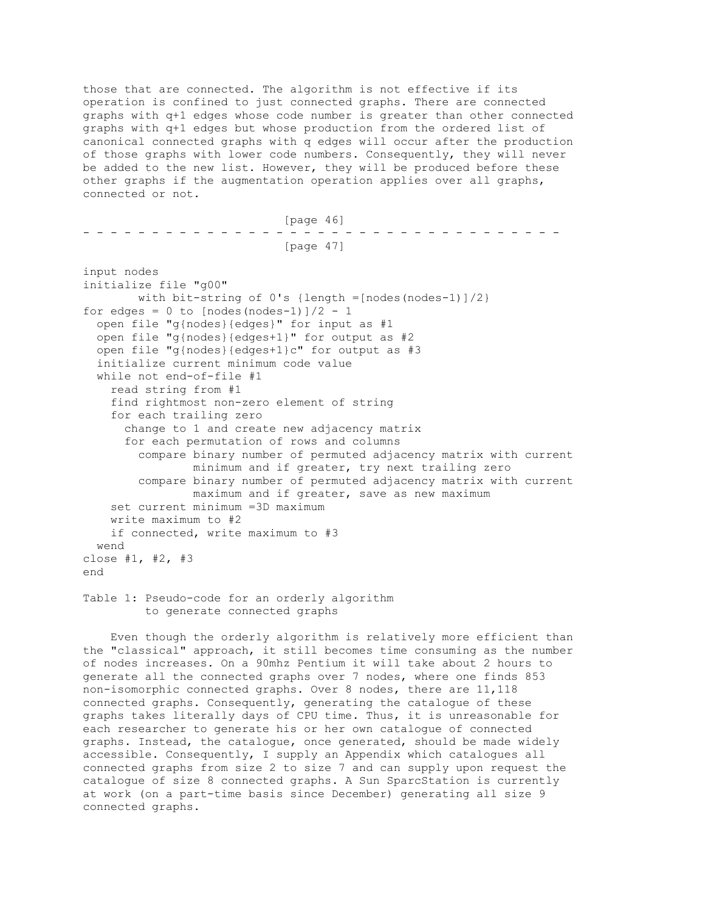those that are connected. The algorithm is not effective if its operation is confined to just connected graphs. There are connected graphs with q+1 edges whose code number is greater than other connected graphs with q+1 edges but whose production from the ordered list of canonical connected graphs with q edges will occur after the production of those graphs with lower code numbers. Consequently, they will never be added to the new list. However, they will be produced before these other graphs if the augmentation operation applies over all graphs, connected or not.

 [page 46] - - - - - - - - - - - - - - - - - - - - - - - - - - - - - - - - - - - [page 47] input nodes initialize file "g00" with bit-string of  $0's$  {length =[nodes(nodes-1)]/2} for edges =  $0$  to [nodes(nodes-1)]/2 - 1 open file "g{nodes}{edges}" for input as #1 open file "g{nodes}{edges+1}" for output as #2 open file "g{nodes}{edges+1}c" for output as #3 initialize current minimum code value while not end-of-file #1 read string from #1 find rightmost non-zero element of string for each trailing zero change to 1 and create new adjacency matrix for each permutation of rows and columns compare binary number of permuted adjacency matrix with current minimum and if greater, try next trailing zero compare binary number of permuted adjacency matrix with current maximum and if greater, save as new maximum set current minimum =3D maximum write maximum to #2 if connected, write maximum to #3 wend close #1, #2, #3 end Table 1: Pseudo-code for an orderly algorithm

to generate connected graphs

 Even though the orderly algorithm is relatively more efficient than the "classical" approach, it still becomes time consuming as the number of nodes increases. On a 90mhz Pentium it will take about 2 hours to generate all the connected graphs over 7 nodes, where one finds 853 non-isomorphic connected graphs. Over 8 nodes, there are 11,118 connected graphs. Consequently, generating the catalogue of these graphs takes literally days of CPU time. Thus, it is unreasonable for each researcher to generate his or her own catalogue of connected graphs. Instead, the catalogue, once generated, should be made widely accessible. Consequently, I supply an Appendix which catalogues all connected graphs from size 2 to size 7 and can supply upon request the catalogue of size 8 connected graphs. A Sun SparcStation is currently at work (on a part-time basis since December) generating all size 9 connected graphs.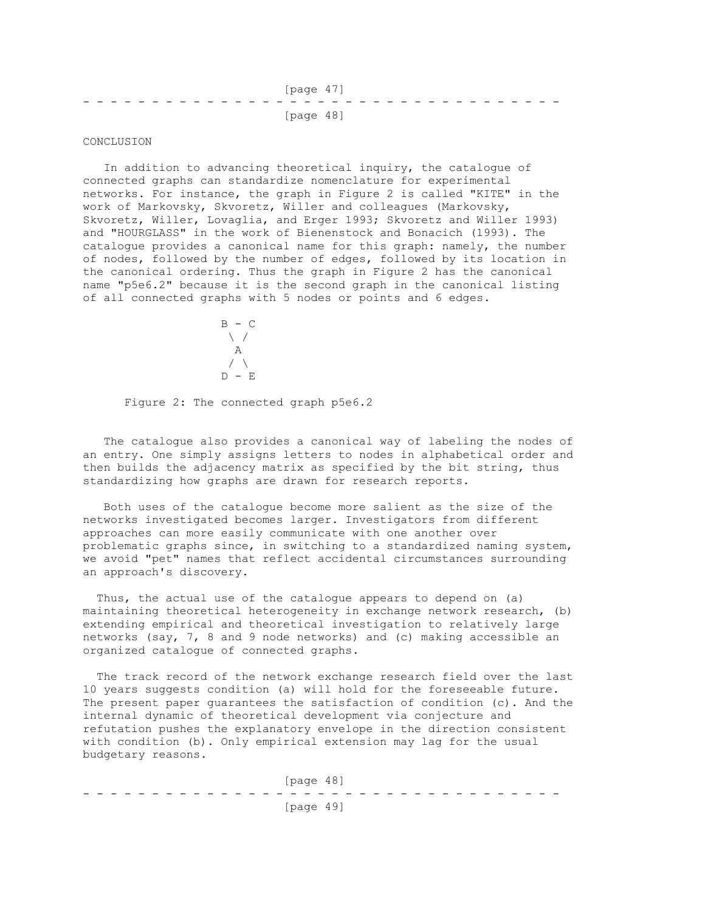|  |  |  |  |  | [page 47] |  |  |  |  |  |  |  |  |
|--|--|--|--|--|-----------|--|--|--|--|--|--|--|--|
|  |  |  |  |  |           |  |  |  |  |  |  |  |  |
|  |  |  |  |  | [page 48] |  |  |  |  |  |  |  |  |

### CONCLUSION

 In addition to advancing theoretical inquiry, the catalogue of connected graphs can standardize nomenclature for experimental networks. For instance, the graph in Figure 2 is called "KITE" in the work of Markovsky, Skvoretz, Willer and colleagues (Markovsky, Skvoretz, Willer, Lovaglia, and Erger 1993; Skvoretz and Willer 1993) and "HOURGLASS" in the work of Bienenstock and Bonacich (1993). The catalogue provides a canonical name for this graph: namely, the number of nodes, followed by the number of edges, followed by its location in the canonical ordering. Thus the graph in Figure 2 has the canonical name "p5e6.2" because it is the second graph in the canonical listing of all connected graphs with 5 nodes or points and 6 edges.



Figure 2: The connected graph p5e6.2

 The catalogue also provides a canonical way of labeling the nodes of an entry. One simply assigns letters to nodes in alphabetical order and then builds the adjacency matrix as specified by the bit string, thus standardizing how graphs are drawn for research reports.

 Both uses of the catalogue become more salient as the size of the networks investigated becomes larger. Investigators from different approaches can more easily communicate with one another over problematic graphs since, in switching to a standardized naming system, we avoid "pet" names that reflect accidental circumstances surrounding an approach's discovery.

 Thus, the actual use of the catalogue appears to depend on (a) maintaining theoretical heterogeneity in exchange network research, (b) extending empirical and theoretical investigation to relatively large networks (say, 7, 8 and 9 node networks) and (c) making accessible an organized catalogue of connected graphs.

 The track record of the network exchange research field over the last 10 years suggests condition (a) will hold for the foreseeable future. The present paper guarantees the satisfaction of condition (c). And the internal dynamic of theoretical development via conjecture and refutation pushes the explanatory envelope in the direction consistent with condition (b). Only empirical extension may lag for the usual budgetary reasons.

 [page 48] - - - - - - - - - - - - - - - - - - - - - - - - - - - - - - - - - - - [page 49]